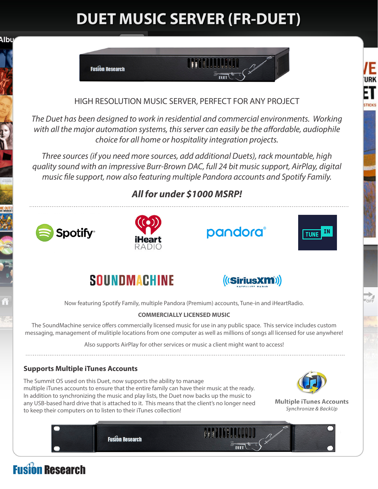# **DUET MUSIC SERVER (FR-DUET)**



### HIGH RESOLUTION MUSIC SERVER, PERFECT FOR ANY PROJECT

*The Duet has been designed to work in residential and commercial environments. Working with all the major automation systems, this server can easily be the affordable, audiophile choice for all home or hospitality integration projects.*

*Three sources (if you need more sources, add additional Duets), rack mountable, high quality sound with an impressive Burr-Brown DAC, full 24 bit music support, AirPlay, digital music file support, now also featuring multiple Pandora accounts and Spotify Family.*

## *All for under \$1000 MSRP!*



Albu







**TICKS** 

 $\frac{1}{\sqrt{10}}$ 





Now featuring Spotify Family, multiple Pandora (Premium) accounts, Tune-in and iHeartRadio.

#### **COMMERCIALLY LICENSED MUSIC**

The SoundMachine service offers commercially licensed music for use in any public space. This service includes custom messaging, management of mulitiple locations from one computer as well as millions of songs all licensed for use anywhere!

Also supports AirPlay for other services or music a client might want to access!

### **Supports Multiple iTunes Accounts**

The Summit OS used on this Duet, now supports the ability to manage multiple iTunes accounts to ensure that the entire family can have their music at the ready. In addition to synchronizing the music and play lists, the Duet now backs up the music to any USB-based hard drive that is attached to it. This means that the client's no longer need to keep their computers on to listen to their iTunes collection!



**Multiple iTunes Accounts** Synchronize & BackUp

**Fusion Research** 

# **Fusion Research**